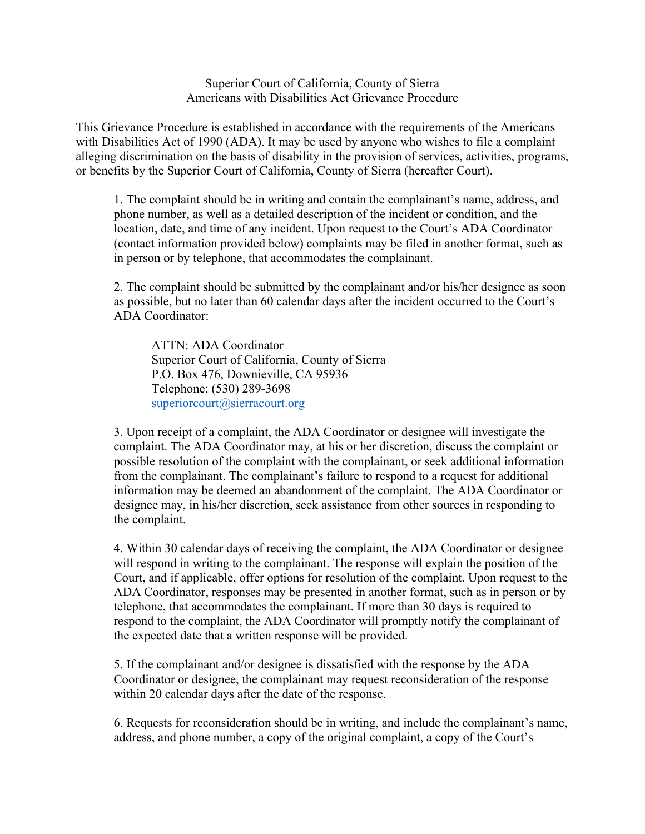Superior Court of California, County of Sierra Americans with Disabilities Act Grievance Procedure

This Grievance Procedure is established in accordance with the requirements of the Americans with Disabilities Act of 1990 (ADA). It may be used by anyone who wishes to file a complaint alleging discrimination on the basis of disability in the provision of services, activities, programs, or benefits by the Superior Court of California, County of Sierra (hereafter Court).

1. The complaint should be in writing and contain the complainant's name, address, and phone number, as well as a detailed description of the incident or condition, and the location, date, and time of any incident. Upon request to the Court's ADA Coordinator (contact information provided below) complaints may be filed in another format, such as in person or by telephone, that accommodates the complainant.

2. The complaint should be submitted by the complainant and/or his/her designee as soon as possible, but no later than 60 calendar days after the incident occurred to the Court's ADA Coordinator:

ATTN: ADA Coordinator Superior Court of California, County of Sierra P.O. Box 476, Downieville, CA 95936 Telephone: (530) 289-3698 [superiorcourt@sierracourt.org](mailto:superiorcourt@sierracourt.org)

3. Upon receipt of a complaint, the ADA Coordinator or designee will investigate the complaint. The ADA Coordinator may, at his or her discretion, discuss the complaint or possible resolution of the complaint with the complainant, or seek additional information from the complainant. The complainant's failure to respond to a request for additional information may be deemed an abandonment of the complaint. The ADA Coordinator or designee may, in his/her discretion, seek assistance from other sources in responding to the complaint.

4. Within 30 calendar days of receiving the complaint, the ADA Coordinator or designee will respond in writing to the complainant. The response will explain the position of the Court, and if applicable, offer options for resolution of the complaint. Upon request to the ADA Coordinator, responses may be presented in another format, such as in person or by telephone, that accommodates the complainant. If more than 30 days is required to respond to the complaint, the ADA Coordinator will promptly notify the complainant of the expected date that a written response will be provided.

5. If the complainant and/or designee is dissatisfied with the response by the ADA Coordinator or designee, the complainant may request reconsideration of the response within 20 calendar days after the date of the response.

6. Requests for reconsideration should be in writing, and include the complainant's name, address, and phone number, a copy of the original complaint, a copy of the Court's